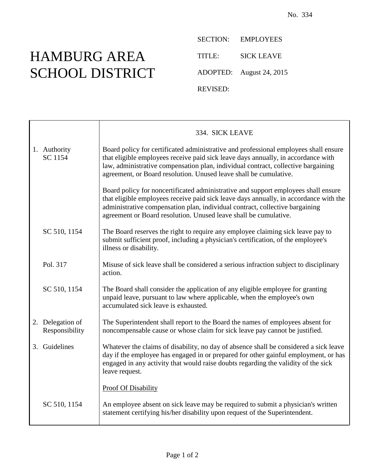## HAMBURG AREA SCHOOL DISTRICT

SECTION: EMPLOYEES TITLE: SICK LEAVE ADOPTED: August 24, 2015 REVISED:

|                                    | 334. SICK LEAVE                                                                                                                                                                                                                                                                                                                     |
|------------------------------------|-------------------------------------------------------------------------------------------------------------------------------------------------------------------------------------------------------------------------------------------------------------------------------------------------------------------------------------|
| 1. Authority<br>SC 1154            | Board policy for certificated administrative and professional employees shall ensure<br>that eligible employees receive paid sick leave days annually, in accordance with<br>law, administrative compensation plan, individual contract, collective bargaining<br>agreement, or Board resolution. Unused leave shall be cumulative. |
|                                    | Board policy for noncertificated administrative and support employees shall ensure<br>that eligible employees receive paid sick leave days annually, in accordance with the<br>administrative compensation plan, individual contract, collective bargaining<br>agreement or Board resolution. Unused leave shall be cumulative.     |
| SC 510, 1154                       | The Board reserves the right to require any employee claiming sick leave pay to<br>submit sufficient proof, including a physician's certification, of the employee's<br>illness or disability.                                                                                                                                      |
| Pol. 317                           | Misuse of sick leave shall be considered a serious infraction subject to disciplinary<br>action.                                                                                                                                                                                                                                    |
| SC 510, 1154                       | The Board shall consider the application of any eligible employee for granting<br>unpaid leave, pursuant to law where applicable, when the employee's own<br>accumulated sick leave is exhausted.                                                                                                                                   |
| 2. Delegation of<br>Responsibility | The Superintendent shall report to the Board the names of employees absent for<br>noncompensable cause or whose claim for sick leave pay cannot be justified.                                                                                                                                                                       |
| 3. Guidelines                      | Whatever the claims of disability, no day of absence shall be considered a sick leave<br>day if the employee has engaged in or prepared for other gainful employment, or has<br>engaged in any activity that would raise doubts regarding the validity of the sick<br>leave request.                                                |
|                                    | <b>Proof Of Disability</b>                                                                                                                                                                                                                                                                                                          |
| SC 510, 1154                       | An employee absent on sick leave may be required to submit a physician's written<br>statement certifying his/her disability upon request of the Superintendent.                                                                                                                                                                     |